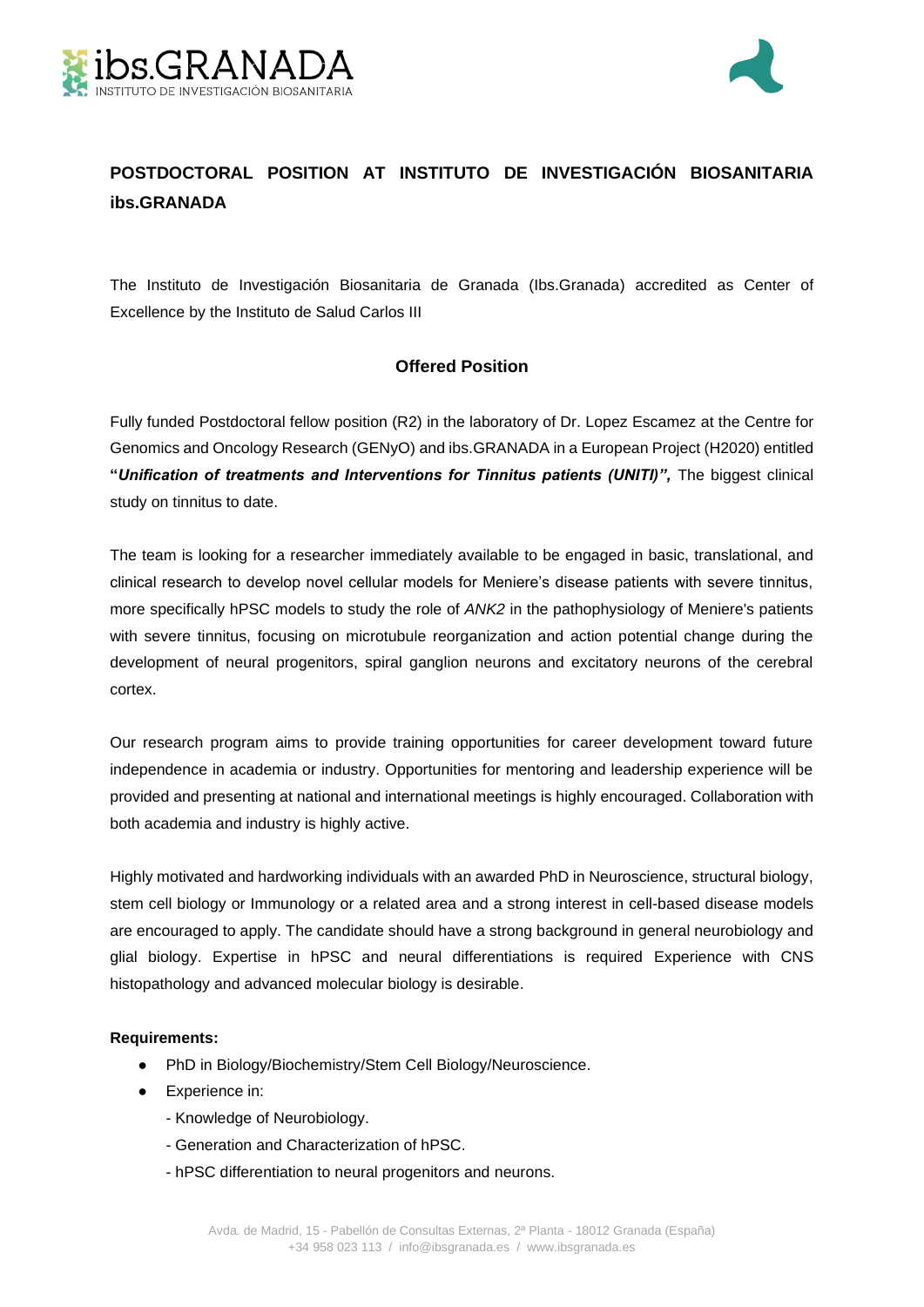



# **POSTDOCTORAL POSITION AT INSTITUTO DE INVESTIGACIÓN BIOSANITARIA ibs.GRANADA**

The Instituto de Investigación Biosanitaria de Granada (Ibs.Granada) accredited as Center of Excellence by the Instituto de Salud Carlos III

## **Offered Position**

Fully funded Postdoctoral fellow position (R2) in the laboratory of Dr. Lopez Escamez at the Centre for Genomics and Oncology Research (GENyO) and ibs.GRANADA in a European Project (H2020) entitled **"***Unification of treatments and Interventions for Tinnitus patients (UNITI)",* The biggest clinical study on tinnitus to date.

The team is looking for a researcher immediately available to be engaged in basic, translational, and clinical research to develop novel cellular models for Meniere's disease patients with severe tinnitus, more specifically hPSC models to study the role of *ANK2* in the pathophysiology of Meniere's patients with severe tinnitus, focusing on microtubule reorganization and action potential change during the development of neural progenitors, spiral ganglion neurons and excitatory neurons of the cerebral cortex.

Our research program aims to provide training opportunities for career development toward future independence in academia or industry. Opportunities for mentoring and leadership experience will be provided and presenting at national and international meetings is highly encouraged. Collaboration with both academia and industry is highly active.

Highly motivated and hardworking individuals with an awarded PhD in Neuroscience, structural biology, stem cell biology or Immunology or a related area and a strong interest in cell-based disease models are encouraged to apply. The candidate should have a strong background in general neurobiology and glial biology. Expertise in hPSC and neural differentiations is required Experience with CNS histopathology and advanced molecular biology is desirable.

### **Requirements:**

- PhD in Biology/Biochemistry/Stem Cell Biology/Neuroscience.
- Experience in:
	- Knowledge of Neurobiology.
	- Generation and Characterization of hPSC.
	- hPSC differentiation to neural progenitors and neurons.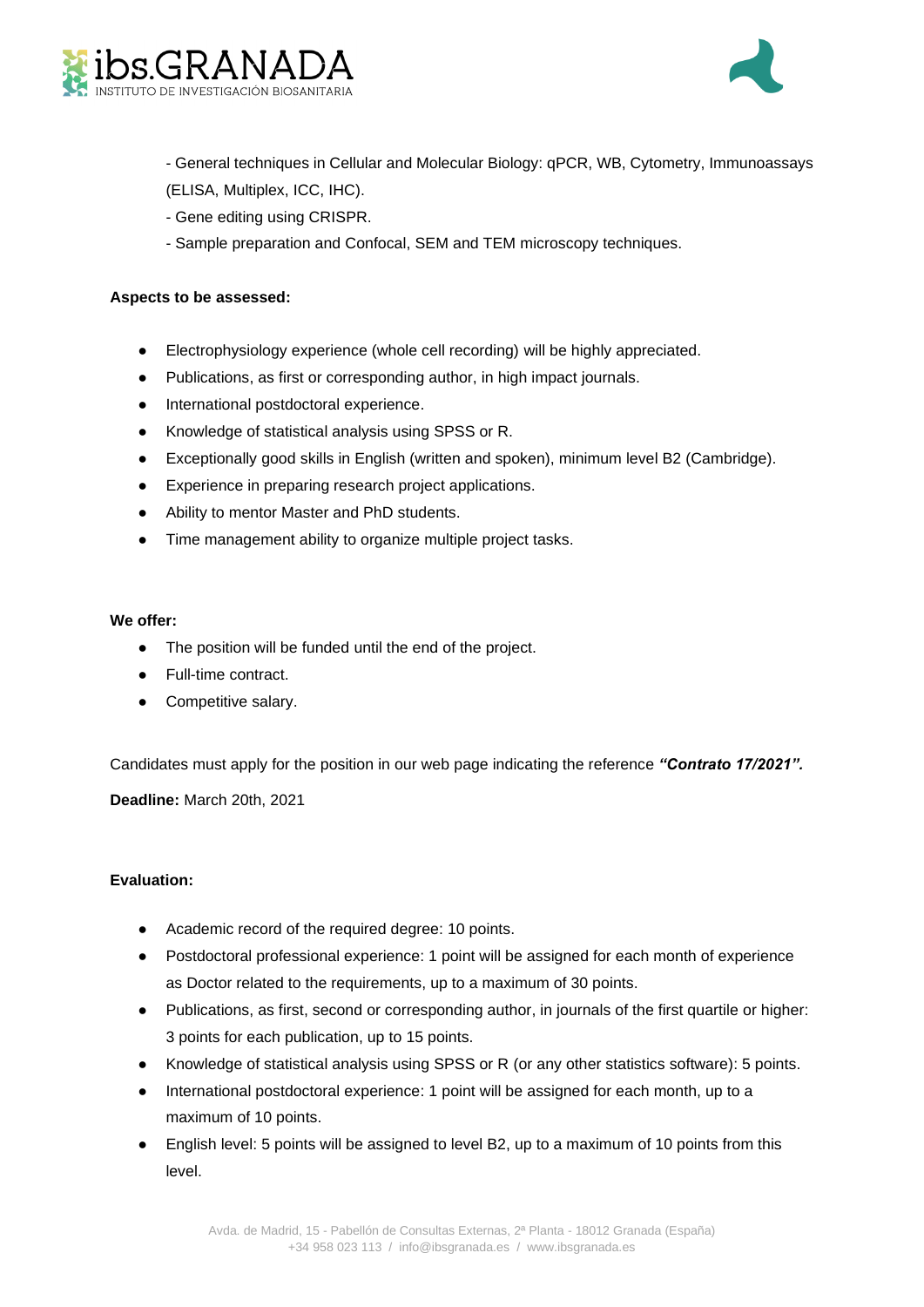



- General techniques in Cellular and Molecular Biology: qPCR, WB, Cytometry, Immunoassays
- (ELISA, Multiplex, ICC, IHC).
- Gene editing using CRISPR.
- Sample preparation and Confocal, SEM and TEM microscopy techniques.

### **Aspects to be assessed:**

- Electrophysiology experience (whole cell recording) will be highly appreciated.
- Publications, as first or corresponding author, in high impact journals.
- International postdoctoral experience.
- Knowledge of statistical analysis using SPSS or R.
- Exceptionally good skills in English (written and spoken), minimum level B2 (Cambridge).
- Experience in preparing research project applications.
- Ability to mentor Master and PhD students.
- Time management ability to organize multiple project tasks.

#### **We offer:**

- The position will be funded until the end of the project.
- Full-time contract.
- Competitive salary.

Candidates must apply for the position in our web page indicating the reference *"Contrato 17/2021".*

**Deadline:** March 20th, 2021

### **Evaluation:**

- Academic record of the required degree: 10 points.
- Postdoctoral professional experience: 1 point will be assigned for each month of experience as Doctor related to the requirements, up to a maximum of 30 points.
- Publications, as first, second or corresponding author, in journals of the first quartile or higher: 3 points for each publication, up to 15 points.
- Knowledge of statistical analysis using SPSS or R (or any other statistics software): 5 points.
- International postdoctoral experience: 1 point will be assigned for each month, up to a maximum of 10 points.
- English level: 5 points will be assigned to level B2, up to a maximum of 10 points from this level.